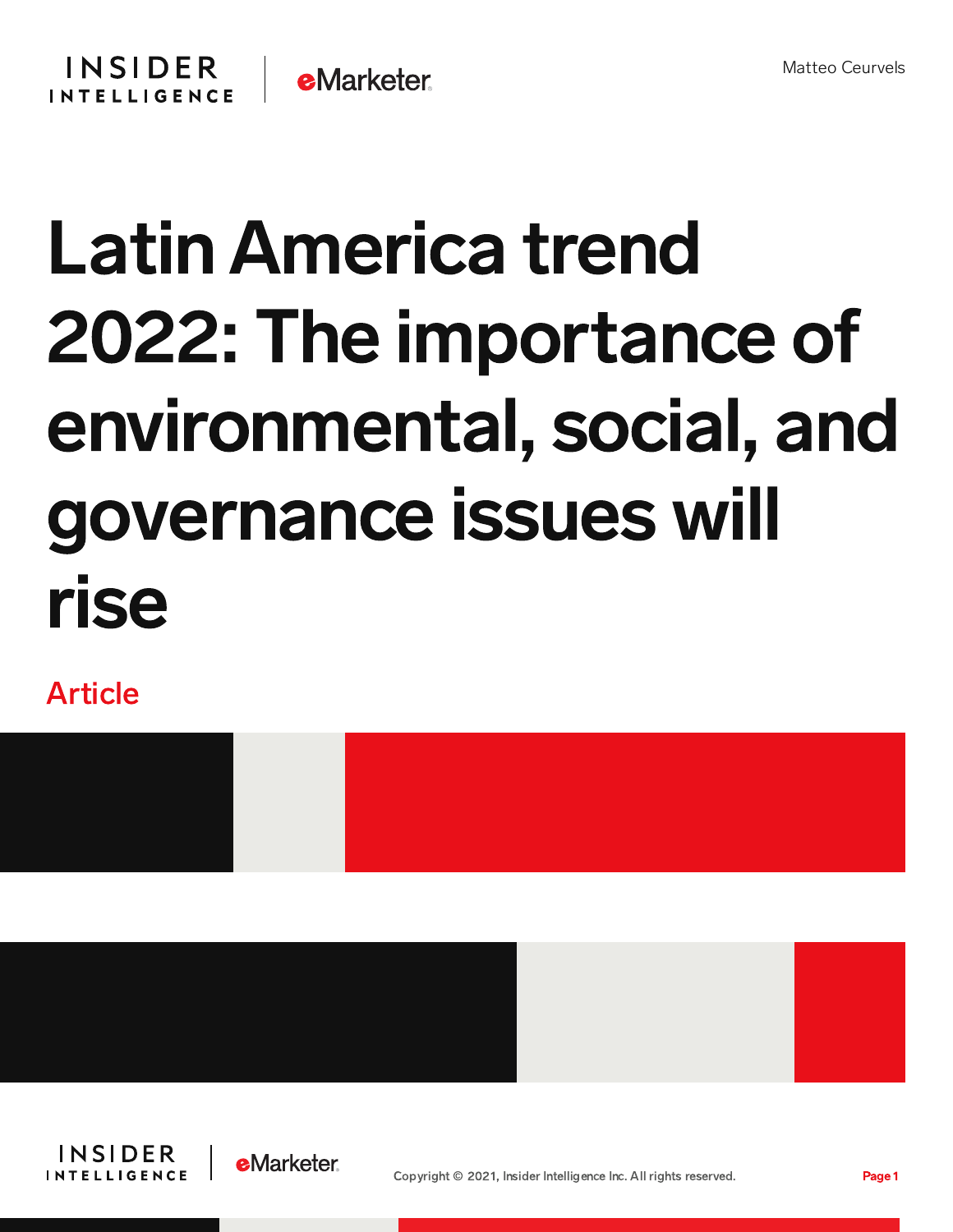

## Latin America trend 2022: The importance of environmental, social, and governance issues will rise

Article









Copyright © 2021, Insider Intelligence Inc. All rights reserved. Page 1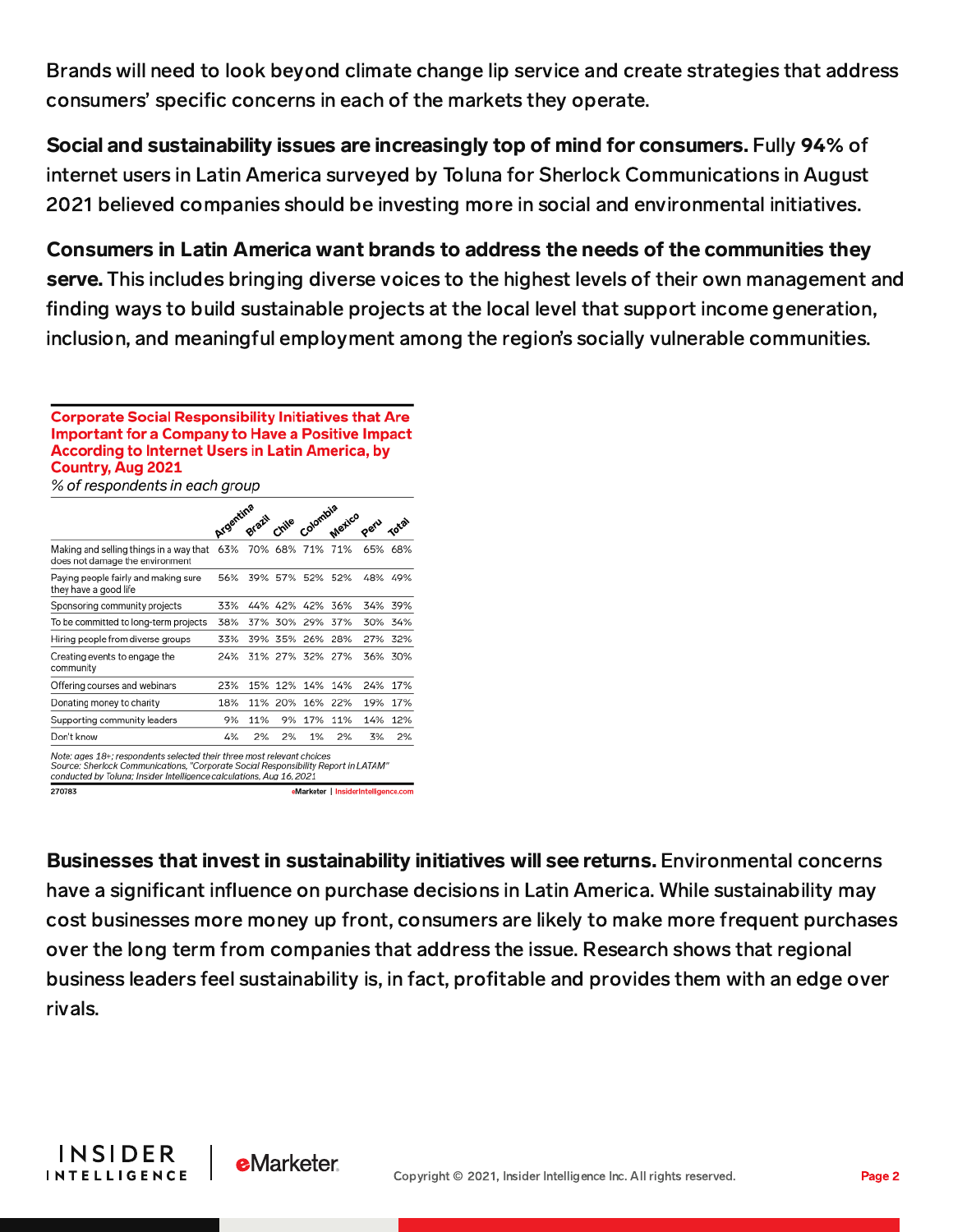Brands will need to look beyond climate change lip service and create strategies that address consumers' specific concerns in each of the markets they operate.

Social and sustainability issues are increasingly top of mind for consumers. Fully 94% of internet users in Latin America surveyed by Toluna for Sherlock Communications in August 2021 believed companies should be investing more in social and environmental initiatives.

Consumers in Latin America want brands to address the needs of the communities they

serve. This includes bringing diverse voices to the highest levels of their own management and finding ways to build sustainable projects at the local level that support income generation, inclusion, and meaningful employment among the region's socially vulnerable communities.

**Corporate Social Responsibility Initiatives that Are** Important for a Company to Have a Positive Impact **According to Internet Users in Latin America, by** Country, Aug 2021

% of respondents in each group

| Colombia<br>mile | Argentina                                                                                                                                      |                 |                                                                                          |
|------------------|------------------------------------------------------------------------------------------------------------------------------------------------|-----------------|------------------------------------------------------------------------------------------|
|                  | 70% 68% 71%                                                                                                                                    | 71%<br>65%      | 68%                                                                                      |
| 57% 52%          | 39%                                                                                                                                            | 52%<br>48%      | 49%                                                                                      |
|                  | 33%                                                                                                                                            | 44% 42% 42% 36% | 34% 39%                                                                                  |
| 30% 29%          | 37%                                                                                                                                            | 37%<br>30%      | 34%                                                                                      |
| 35% 26%          | 39%                                                                                                                                            | 28%<br>27%      | 32%                                                                                      |
|                  |                                                                                                                                                | 31% 27% 32% 27% | 36% 30%                                                                                  |
| 12% 14%          | 15%                                                                                                                                            | 14%<br>24%      | 17%                                                                                      |
| 20%<br>16%       | 11%                                                                                                                                            | 22%<br>19%      | 17%                                                                                      |
| 17%<br>9%        | 11%                                                                                                                                            | 11%<br>14%      | 12%                                                                                      |
| 2%<br>1%         | 2%                                                                                                                                             | 2%              | 2%                                                                                       |
|                  | Note: ages 18+; respondents selected their three most relevant choices<br>conducted by Toluna: Insider Intelligence calculations. Aug 16, 2021 |                 | 3%<br>Source: Sherlock Communications, "Corporate Social Responsibility Report in LATAM" |

eMarketer | InsiderIntelligence.com

270783

Businesses that invest in sustainability initiatives will see returns. Environmental concerns have a significant influence on purchase decisions in Latin America. While sustainability may cost businesses more money up front, consumers are likely to make more frequent purchases over the long term from companies that address the issue. Research shows that regional business leaders feel sustainability is, in fact, profitable and provides them with an edge over rivals.